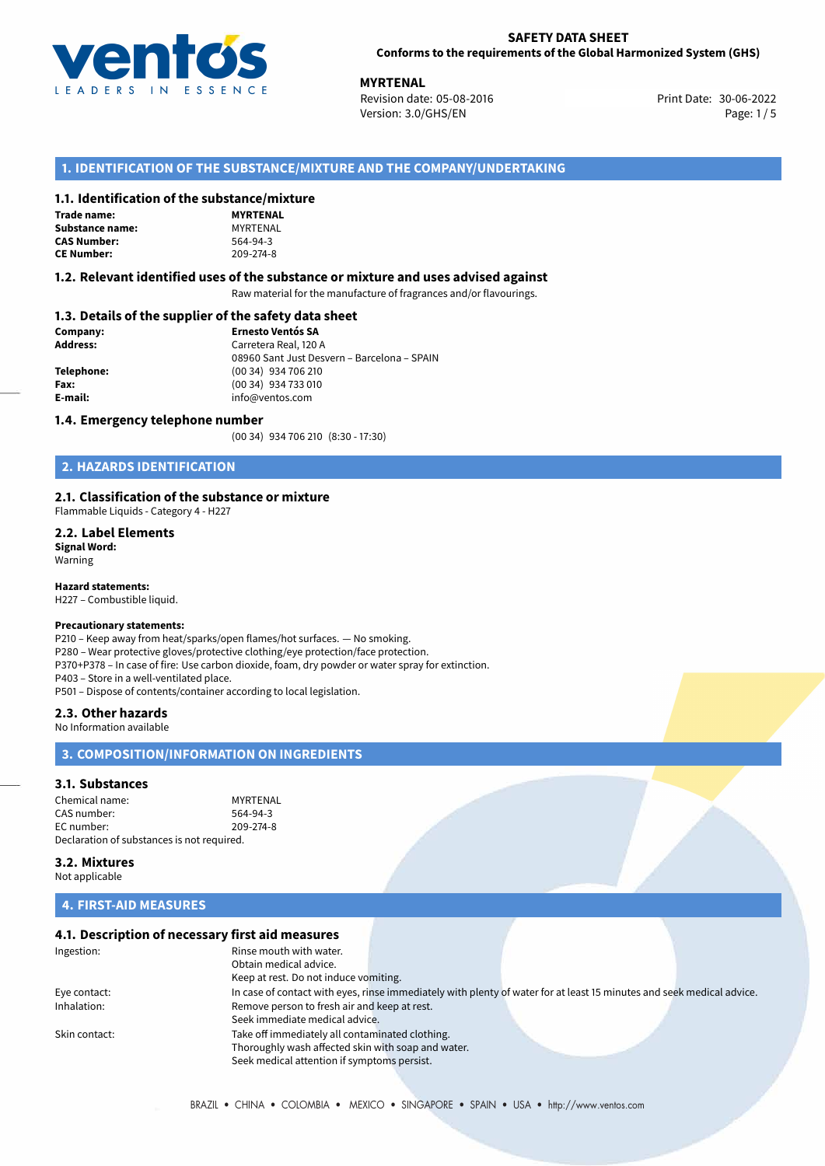

**MYRTENAL**<br>30-06-2022 **Revision date: 05-08-2016** Print Date: 30-06-2022 Version: 3.0/GHS/EN Page: 1/5

## **1. IDENTIFICATION OF THE SUBSTANCE/MIXTURE AND THE COMPANY/UNDERTAKING**

### **1.1. Identification of the substance/mixture**

| Trade name:        |
|--------------------|
| Substance name:    |
| <b>CAS Number:</b> |
| <b>CE Number:</b>  |

**MYRTENAL Substance name:** MYRTENAL **CAS Number:** 564-94-3 **CE Number:** 209-274-8

### **1.2. Relevant identified uses of the substance or mixture and uses advised against**

Raw material for the manufacture of fragrances and/or flavourings.

## **1.3. Details of the supplier of the safety data sheet**

| Company:        | <b>Ernesto Ventós SA</b>                    |  |
|-----------------|---------------------------------------------|--|
| <b>Address:</b> | Carretera Real, 120 A                       |  |
|                 | 08960 Sant Just Desvern - Barcelona - SPAIN |  |
| Telephone:      | (00 34) 934 706 210                         |  |
| Fax:            | (00 34) 934 733 010                         |  |
| E-mail:         | info@ventos.com                             |  |
|                 |                                             |  |

### **1.4. Emergency telephone number**

(00 34) 934 706 210 (8:30 - 17:30)

## **2. HAZARDS IDENTIFICATION**

### **2.1. Classification of the substance or mixture**

Flammable Liquids - Category 4 - H227

**2.2. Label Elements Signal Word:** Warning

**Hazard statements:**

H227 – Combustible liquid.

## **Precautionary statements:**

P210 – Keep away from heat/sparks/open flames/hot surfaces. — No smoking. P280 – Wear protective gloves/protective clothing/eye protection/face protection. P370+P378 – In case of fire: Use carbon dioxide, foam, dry powder or water spray for extinction. P403 – Store in a well-ventilated place. P501 – Dispose of contents/container according to local legislation.

### **2.3. Other hazards**

No Information available

## **3. COMPOSITION/INFORMATION ON INGREDIENTS**

### **3.1. Substances**

Chemical name: MYRTENAL<br>CAS number: 564-94-3 CAS number: EC number: 209-274-8 Declaration of substances is not required.

**3.2. Mixtures**

Not applicable

# **4. FIRST-AID MEASURES**

# **4.1. Description of necessary first aid measures**

| Ingestion:    | Rinse mouth with water.<br>Obtain medical advice.  |                                                                                                                       |  |
|---------------|----------------------------------------------------|-----------------------------------------------------------------------------------------------------------------------|--|
|               | Keep at rest. Do not induce vomiting.              |                                                                                                                       |  |
| Eye contact:  |                                                    | In case of contact with eyes, rinse immediately with plenty of water for at least 15 minutes and seek medical advice. |  |
| Inhalation:   | Remove person to fresh air and keep at rest.       |                                                                                                                       |  |
|               | Seek immediate medical advice.                     |                                                                                                                       |  |
| Skin contact: | Take off immediately all contaminated clothing.    |                                                                                                                       |  |
|               | Thoroughly wash affected skin with soap and water. |                                                                                                                       |  |
|               | Seek medical attention if symptoms persist.        |                                                                                                                       |  |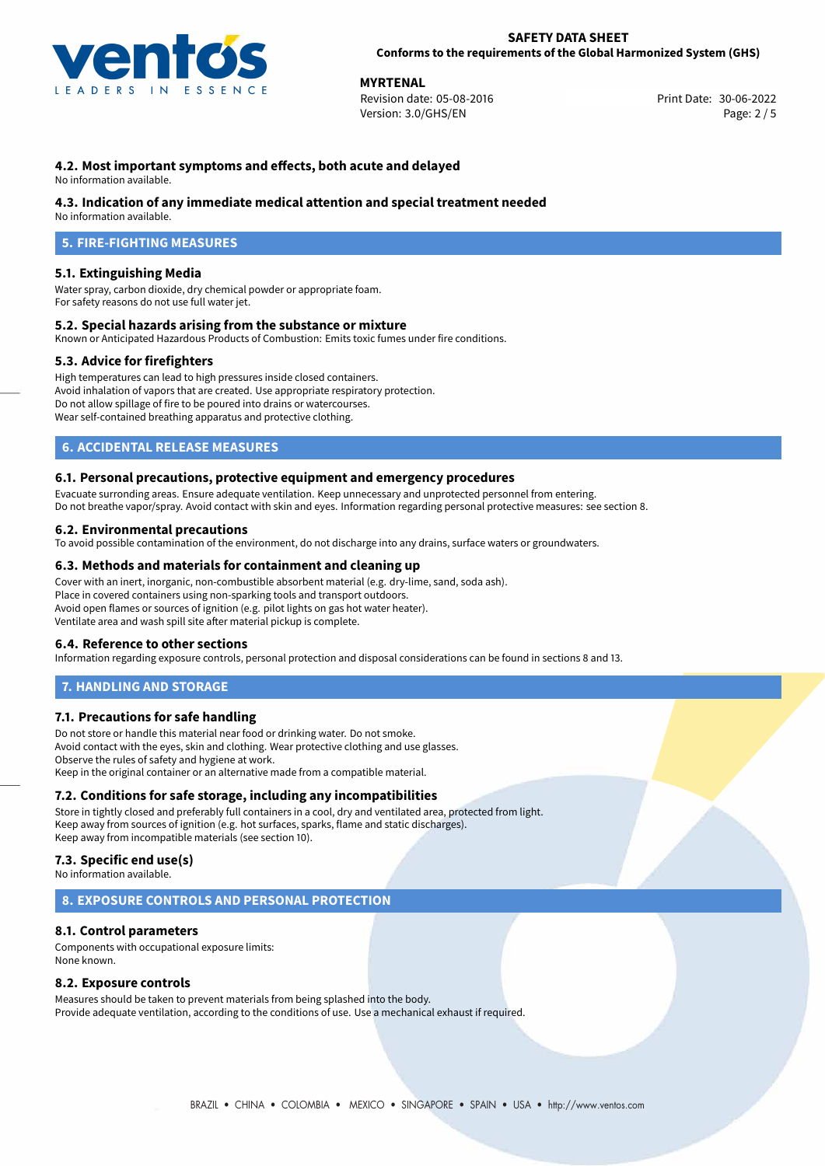

**MYRTENAL**<br>
Revision date: 05-08-2016 **Print Date: 30-06-2022** Version: 3.0/GHS/EN Page: 2 / 5

# **4.2. Most important symptoms and effects, both acute and delayed**

No information available.

## **4.3. Indication of any immediate medical attention and special treatment needed**

No information available.

# **5. FIRE-FIGHTING MEASURES**

## **5.1. Extinguishing Media**

Water spray, carbon dioxide, dry chemical powder or appropriate foam. For safety reasons do not use full water jet.

## **5.2. Special hazards arising from the substance or mixture**

Known or Anticipated Hazardous Products of Combustion: Emits toxic fumes under fire conditions.

## **5.3. Advice for firefighters**

High temperatures can lead to high pressures inside closed containers. Avoid inhalation of vapors that are created. Use appropriate respiratory protection. Do not allow spillage of fire to be poured into drains or watercourses. Wear self-contained breathing apparatus and protective clothing.

## **6. ACCIDENTAL RELEASE MEASURES**

### **6.1. Personal precautions, protective equipment and emergency procedures**

Evacuate surronding areas. Ensure adequate ventilation. Keep unnecessary and unprotected personnel from entering. Do not breathe vapor/spray. Avoid contact with skin and eyes. Information regarding personal protective measures: see section 8.

## **6.2. Environmental precautions**

To avoid possible contamination of the environment, do not discharge into any drains, surface waters or groundwaters.

### **6.3. Methods and materials for containment and cleaning up**

Cover with an inert, inorganic, non-combustible absorbent material (e.g. dry-lime, sand, soda ash). Place in covered containers using non-sparking tools and transport outdoors. Avoid open flames or sources of ignition (e.g. pilot lights on gas hot water heater). Ventilate area and wash spill site after material pickup is complete.

### **6.4. Reference to other sections**

Information regarding exposure controls, personal protection and disposal considerations can be found in sections 8 and 13.

## **7. HANDLING AND STORAGE**

## **7.1. Precautions for safe handling**

Do not store or handle this material near food or drinking water. Do not smoke. Avoid contact with the eyes, skin and clothing. Wear protective clothing and use glasses. Observe the rules of safety and hygiene at work. Keep in the original container or an alternative made from a compatible material.

## **7.2. Conditions for safe storage, including any incompatibilities**

Store in tightly closed and preferably full containers in a cool, dry and ventilated area, protected from light. Keep away from sources of ignition (e.g. hot surfaces, sparks, flame and static discharges). Keep away from incompatible materials (see section 10).

# **7.3. Specific end use(s)**

No information available.

## **8. EXPOSURE CONTROLS AND PERSONAL PROTECTION**

### **8.1. Control parameters**

Components with occupational exposure limits: None known.

### **8.2. Exposure controls**

Measures should be taken to prevent materials from being splashed into the body. Provide adequate ventilation, according to the conditions of use. Use a mechanical exhaust if required.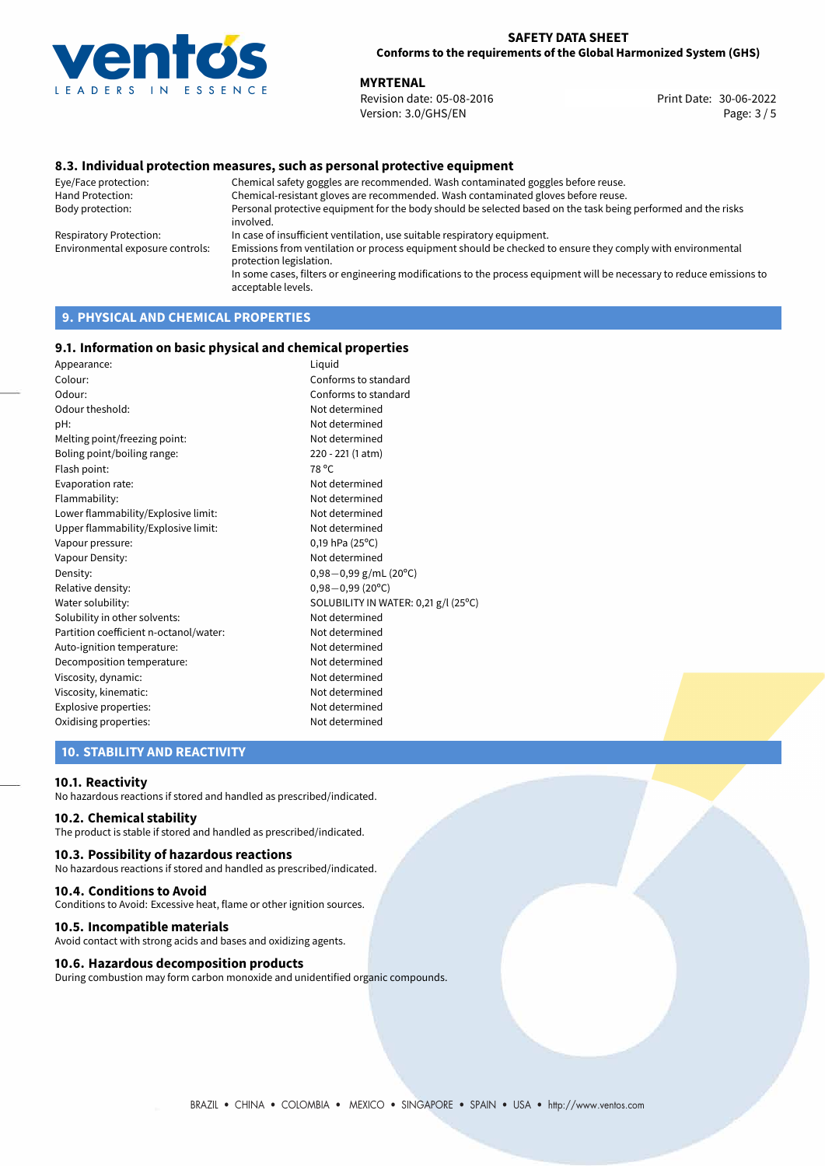

**MYRTENAL**<br>
Revision date: 05-08-2016 **Print Date: 30-06-2022** Version: 3.0/GHS/EN Page: 3 / 5

## **8.3. Individual protection measures, such as personal protective equipment**

Eye/Face protection: Chemical safety goggles are recommended. Wash contaminated goggles before reuse. Chemical-resistant gloves are recommended. Wash contaminated gloves before reuse. Body protection: Personal protective equipment for the body should be selected based on the task being performed and the risks involved. Respiratory Protection: In case of insufficient ventilation, use suitable respiratory equipment. Environmental exposure controls: Emissions from ventilation or process equipment should be checked to ensure they comply with environmental protection legislation. In some cases, filters or engineering modifications to the process equipment will be necessary to reduce emissions to acceptable levels.

# **9. PHYSICAL AND CHEMICAL PROPERTIES**

### **9.1. Information on basic physical and chemical properties**

| Appearance:                            | Liquid                               |  |  |
|----------------------------------------|--------------------------------------|--|--|
| Colour:                                | Conforms to standard                 |  |  |
| Odour:                                 | Conforms to standard                 |  |  |
| Odour theshold:                        | Not determined                       |  |  |
| pH:                                    | Not determined                       |  |  |
| Melting point/freezing point:          | Not determined                       |  |  |
| Boling point/boiling range:            | 220 - 221 (1 atm)                    |  |  |
| Flash point:                           | 78 °C                                |  |  |
| Evaporation rate:                      | Not determined                       |  |  |
| Flammability:                          | Not determined                       |  |  |
| Lower flammability/Explosive limit:    | Not determined                       |  |  |
| Upper flammability/Explosive limit:    | Not determined                       |  |  |
| Vapour pressure:                       | $0,19$ hPa (25°C)                    |  |  |
| Vapour Density:                        | Not determined                       |  |  |
| Density:                               | $0,98-0,99$ g/mL (20°C)              |  |  |
| Relative density:                      | $0,98 - 0,99$ (20°C)                 |  |  |
| Water solubility:                      | SOLUBILITY IN WATER: 0,21 g/l (25°C) |  |  |
| Solubility in other solvents:          | Not determined                       |  |  |
| Partition coefficient n-octanol/water: | Not determined                       |  |  |
| Auto-ignition temperature:             | Not determined                       |  |  |
| Decomposition temperature:             | Not determined                       |  |  |
| Viscosity, dynamic:                    | Not determined                       |  |  |
| Viscosity, kinematic:                  | Not determined                       |  |  |
| Explosive properties:                  | Not determined                       |  |  |
| Oxidising properties:                  | Not determined                       |  |  |

## **10. STABILITY AND REACTIVITY**

### **10.1. Reactivity**

No hazardous reactions if stored and handled as prescribed/indicated.

## **10.2. Chemical stability**

The product is stable if stored and handled as prescribed/indicated.

### **10.3. Possibility of hazardous reactions**

No hazardous reactions if stored and handled as prescribed/indicated.

### **10.4. Conditions to Avoid**

Conditions to Avoid: Excessive heat, flame or other ignition sources.

### **10.5. Incompatible materials**

Avoid contact with strong acids and bases and oxidizing agents.

### **10.6. Hazardous decomposition products**

During combustion may form carbon monoxide and unidentified organic compounds.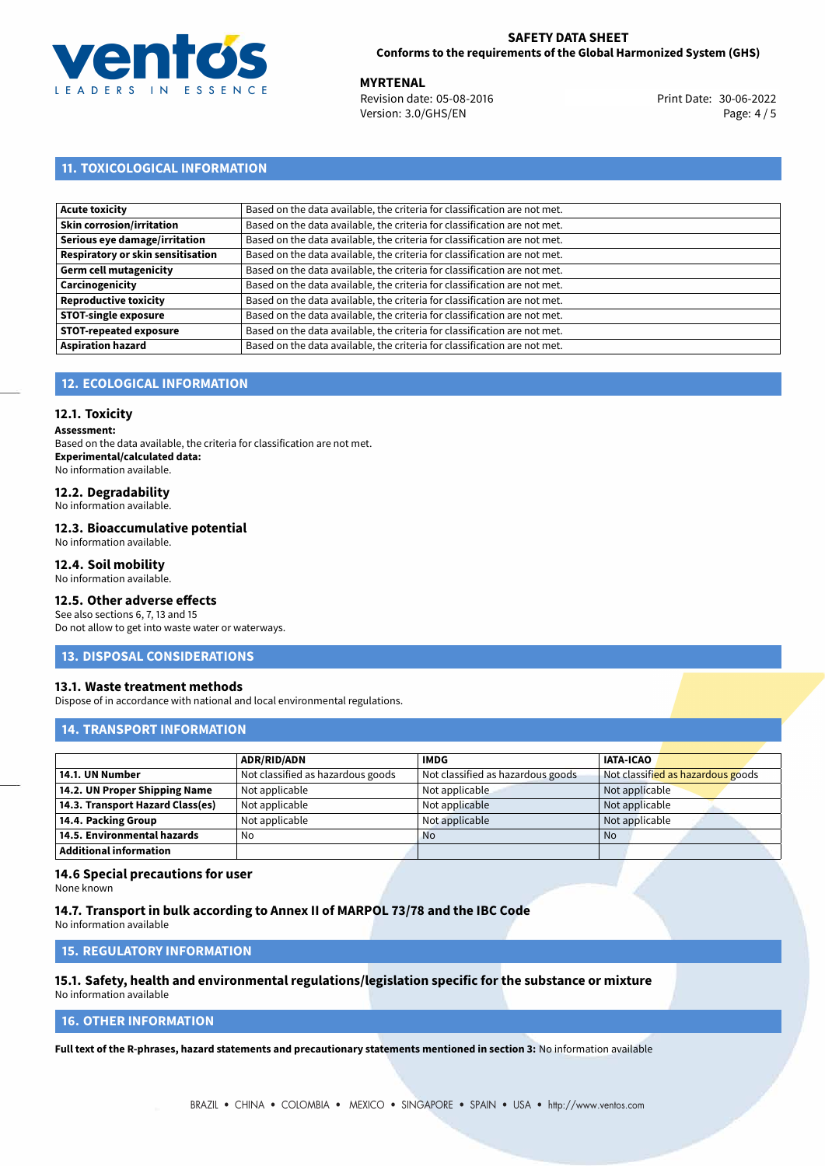

**MYRTENAL**<br>
Revision date: 05-08-2016 **Print Date: 30-06-2022** Version: 3.0/GHS/EN Page: 4 / 5

# **11. TOXICOLOGICAL INFORMATION**

| Based on the data available, the criteria for classification are not met. |
|---------------------------------------------------------------------------|
| Based on the data available, the criteria for classification are not met. |
| Based on the data available, the criteria for classification are not met. |
| Based on the data available, the criteria for classification are not met. |
| Based on the data available, the criteria for classification are not met. |
| Based on the data available, the criteria for classification are not met. |
| Based on the data available, the criteria for classification are not met. |
| Based on the data available, the criteria for classification are not met. |
| Based on the data available, the criteria for classification are not met. |
| Based on the data available, the criteria for classification are not met. |
|                                                                           |

# **12. ECOLOGICAL INFORMATION**

## **12.1. Toxicity**

**Assessment:**

Based on the data available, the criteria for classification are not met. **Experimental/calculated data:** No information available.

# **12.2. Degradability**

No information available.

### **12.3. Bioaccumulative potential**

No information available.

## **12.4. Soil mobility**

No information available.

## **12.5. Other adverse effects**

See also sections 6, 7, 13 and 15 Do not allow to get into waste water or waterways.

### **13. DISPOSAL CONSIDERATIONS**

### **13.1. Waste treatment methods**

Dispose of in accordance with national and local environmental regulations.

### **14. TRANSPORT INFORMATION**

|                                  | <b>ADR/RID/ADN</b>                | <b>IMDG</b>                       | <b>IATA-ICAO</b>                  |
|----------------------------------|-----------------------------------|-----------------------------------|-----------------------------------|
| 14.1. UN Number                  | Not classified as hazardous goods | Not classified as hazardous goods | Not classified as hazardous goods |
| 14.2. UN Proper Shipping Name    | Not applicable                    | Not applicable                    | Not applicable                    |
| 14.3. Transport Hazard Class(es) | Not applicable                    | Not applicable                    | Not applicable                    |
| 14.4. Packing Group              | Not applicable                    | Not applicable                    | Not applicable                    |
| 14.5. Environmental hazards      | No                                | <b>No</b>                         | No                                |
| <b>Additional information</b>    |                                   |                                   |                                   |

### **14.6 Special precautions for user**

None known

### **14.7. Transport in bulk according to Annex II of MARPOL 73/78 and the IBC Code**

No information available

# **15. REGULATORY INFORMATION**

### **15.1. Safety, health and environmental regulations/legislation specific for the substance or mixture** No information available

# **16. OTHER INFORMATION**

**Full text of the R-phrases, hazard statements and precautionary statements mentioned in section 3:** No information available